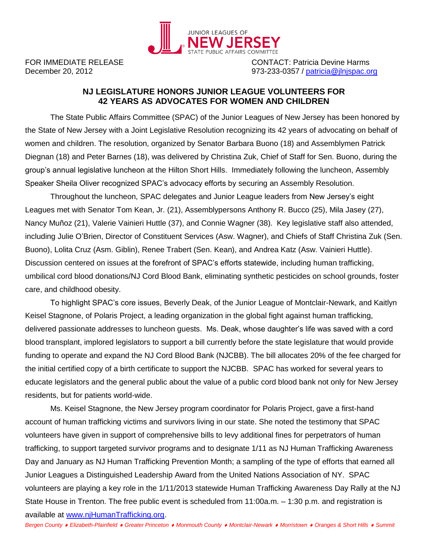

FOR IMMEDIATE RELEASE CONTACT: Patricia Devine Harms December 20, 2012 973-233-0357 / [patricia@jlnjspac.org](mailto:patricia@jlnjspac.org)

## **NJ LEGISLATURE HONORS JUNIOR LEAGUE VOLUNTEERS FOR 42 YEARS AS ADVOCATES FOR WOMEN AND CHILDREN**

The State Public Affairs Committee (SPAC) of the Junior Leagues of New Jersey has been honored by the State of New Jersey with a Joint Legislative Resolution recognizing its 42 years of advocating on behalf of women and children. The resolution, organized by Senator Barbara Buono (18) and Assemblymen Patrick Diegnan (18) and Peter Barnes (18), was delivered by Christina Zuk, Chief of Staff for Sen. Buono, during the group's annual legislative luncheon at the Hilton Short Hills. Immediately following the luncheon, Assembly Speaker Sheila Oliver recognized SPAC's advocacy efforts by securing an Assembly Resolution.

Throughout the luncheon, SPAC delegates and Junior League leaders from New Jersey's eight Leagues met with Senator Tom Kean, Jr. (21), Assemblypersons Anthony R. Bucco (25), Mila Jasey (27), Nancy Muñoz (21), Valerie Vainieri Huttle (37), and Connie Wagner (38). Key legislative staff also attended, including Julie O'Brien, Director of Constituent Services (Asw. Wagner), and Chiefs of Staff Christina Zuk (Sen. Buono), Lolita Cruz (Asm. Giblin), Renee Trabert (Sen. Kean), and Andrea Katz (Asw. Vainieri Huttle). Discussion centered on issues at the forefront of SPAC's efforts statewide, including human trafficking, umbilical cord blood donations/NJ Cord Blood Bank, eliminating synthetic pesticides on school grounds, foster care, and childhood obesity.

To highlight SPAC's core issues, Beverly Deak, of the Junior League of Montclair-Newark, and Kaitlyn Keisel Stagnone, of Polaris Project, a leading organization in the global fight against human trafficking, delivered passionate addresses to luncheon guests. Ms. Deak, whose daughter's life was saved with a cord blood transplant, implored legislators to support a bill currently before the state legislature that would provide funding to operate and expand the NJ Cord Blood Bank (NJCBB). The bill allocates 20% of the fee charged for the initial certified copy of a birth certificate to support the NJCBB. SPAC has worked for several years to educate legislators and the general public about the value of a public cord blood bank not only for New Jersey residents, but for patients world-wide.

Ms. Keisel Stagnone, the New Jersey program coordinator for Polaris Project, gave a first-hand account of human trafficking victims and survivors living in our state. She noted the testimony that SPAC volunteers have given in support of comprehensive bills to levy additional fines for perpetrators of human trafficking, to support targeted survivor programs and to designate 1/11 as NJ Human Trafficking Awareness Day and January as NJ Human Trafficking Prevention Month; a sampling of the type of efforts that earned all Junior Leagues a Distinguished Leadership Award from the United Nations Association of NY. SPAC volunteers are playing a key role in the 1/11/2013 statewide Human Trafficking Awareness Day Rally at the NJ State House in Trenton. The free public event is scheduled from 11:00a.m. – 1:30 p.m. and registration is available at [www.njHumanTrafficking.org.](http://www.njhumantrafficking.org/)

*Bergen County Elizabeth-Plainfield Greater Princeton Monmouth County Montclair-Newark Morristown Oranges & Short Hills Summit*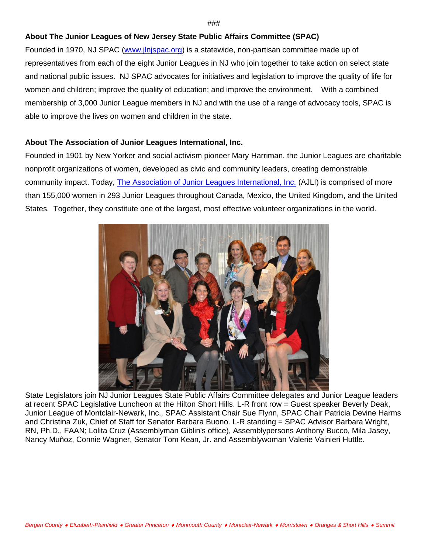## ###

## **About The Junior Leagues of New Jersey State Public Affairs Committee (SPAC)**

Founded in 1970, NJ SPAC [\(www.jlnjspac.org\)](http://www.jlnjspac.org/) is a statewide, non-partisan committee made up of representatives from each of the eight Junior Leagues in NJ who join together to take action on select state and national public issues. NJ SPAC advocates for initiatives and legislation to improve the quality of life for women and children; improve the quality of education; and improve the environment. With a combined membership of 3,000 Junior League members in NJ and with the use of a range of advocacy tools, SPAC is able to improve the lives on women and children in the state.

## **About The Association of Junior Leagues International, Inc.**

Founded in 1901 by New Yorker and social activism pioneer Mary Harriman, the Junior Leagues are charitable nonprofit organizations of women, developed as civic and community leaders, creating demonstrable community impact. Today, [The Association of Junior Leagues International, Inc.](http://www.ajli.org/) (AJLI) is comprised of more than 155,000 women in 293 Junior Leagues throughout Canada, Mexico, the United Kingdom, and the United States. Together, they constitute one of the largest, most effective volunteer organizations in the world.



State Legislators join NJ Junior Leagues State Public Affairs Committee delegates and Junior League leaders at recent SPAC Legislative Luncheon at the Hilton Short Hills. L-R front row = Guest speaker Beverly Deak, Junior League of Montclair-Newark, Inc., SPAC Assistant Chair Sue Flynn, SPAC Chair Patricia Devine Harms and Christina Zuk, Chief of Staff for Senator Barbara Buono. L-R standing = SPAC Advisor Barbara Wright, RN, Ph.D., FAAN; Lolita Cruz (Assemblyman Giblin's office), Assemblypersons Anthony Bucco, Mila Jasey, Nancy Muñoz, Connie Wagner, Senator Tom Kean, Jr. and Assemblywoman Valerie Vainieri Huttle.